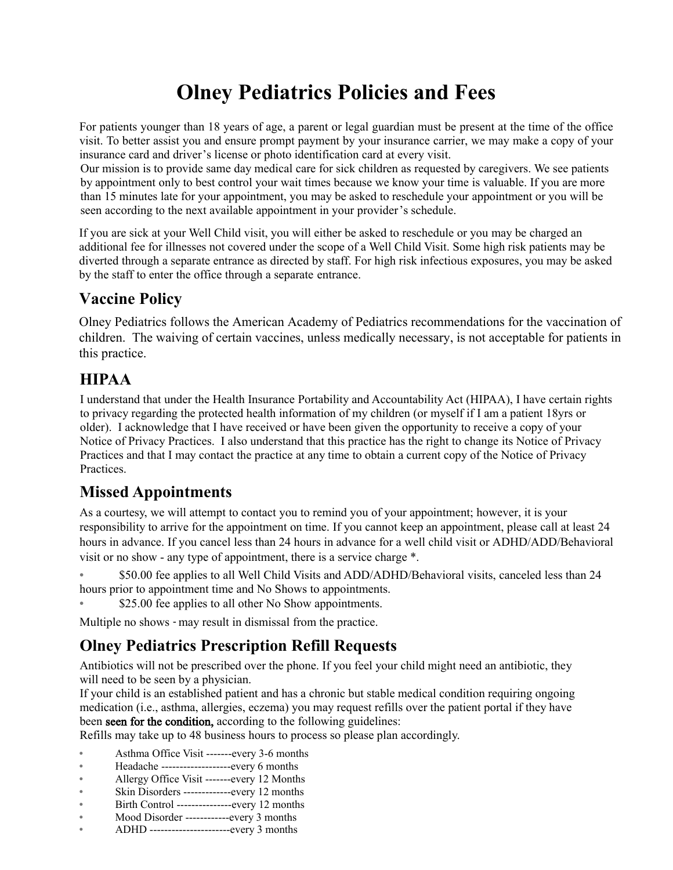# **Olney Pediatrics Policies and Fees**

For patients younger than 18 years of age, a parent or legal guardian must be present at the time of the office visit. To better assist you and ensure prompt payment by your insurance carrier, we may make a copy of your insurance card and driver's license or photo identification card at every visit.

Our mission is to provide same day medical care for sick children as requested by caregivers. We see patients by appointment only to best control your wait times because we know your time is valuable. If you are more than 15 minutes late for your appointment, you may be asked to reschedule your appointment or you will be seen according to the next available appointment in your provider's schedule.

If you are sick at your Well Child visit, you will either be asked to reschedule or you may be charged an additional fee for illnesses not covered under the scope of a Well Child Visit. Some high risk patients may be diverted through a separate entrance as directed by staff. For high risk infectious exposures, you may be asked by the staff to enter the office through a separate entrance.

## **Vaccine Policy**

Olney Pediatrics follows the American Academy of Pediatrics recommendations for the vaccination of children. The waiving of certain vaccines, unless medically necessary, is not acceptable for patients in this practice.

## **HIPAA**

I understand that under the Health Insurance Portability and Accountability Act (HIPAA), I have certain rights to privacy regarding the protected health information of my children (or myself if I am a patient 18yrs or older). I acknowledge that I have received or have been given the opportunity to receive a copy of your Notice of Privacy Practices. I also understand that this practice has the right to change its Notice of Privacy Practices and that I may contact the practice at any time to obtain a current copy of the Notice of Privacy Practices.

## **Missed Appointments**

As a courtesy, we will attempt to contact you to remind you of your appointment; however, it is your responsibility to arrive for the appointment on time. If you cannot keep an appointment, please call at least 24 hours in advance. If you cancel less than 24 hours in advance for a well child visit or ADHD/ADD/Behavioral visit or no show ‐ any type of appointment, there is a service charge \*.

• \$50.00 fee applies to all Well Child Visits and ADD/ADHD/Behavioral visits, canceled less than 24 hours prior to appointment time and No Shows to appointments.

\$25.00 fee applies to all other No Show appointments.

Multiple no shows ‐ may result in dismissal from the practice.

## **Olney Pediatrics Prescription Refill Requests**

Antibiotics will not be prescribed over the phone. If you feel your child might need an antibiotic, they will need to be seen by a physician.

If your child is an established patient and has a chronic but stable medical condition requiring ongoing medication (i.e., asthma, allergies, eczema) you may request refills over the patient portal if they have been seen for the condition, according to the following guidelines:

Refills may take up to 48 business hours to process so please plan accordingly.

- Asthma Office Visit -------every 3-6 months
- Headache -------------------every 6 months
- Allergy Office Visit -------every 12 Months
- Skin Disorders ------------every 12 months
- Birth Control ---------------every 12 months
- Mood Disorder ------------every 3 months
- ADHD ----------------------every 3 months